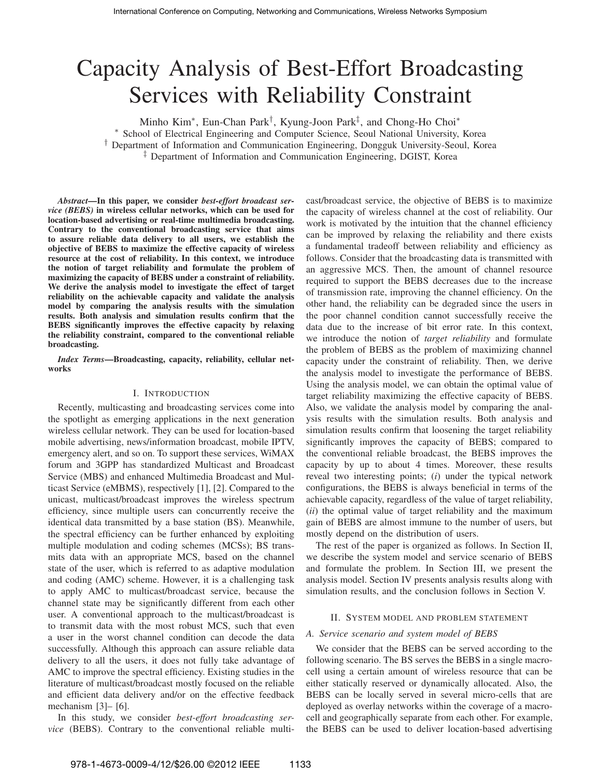# Capacity Analysis of Best-Effort Broadcasting Services with Reliability Constraint

Minho Kim<sup>∗</sup>, Eun-Chan Park<sup>†</sup>, Kyung-Joon Park<sup>‡</sup>, and Chong-Ho Choi<sup>∗</sup>

<sup>∗</sup> School of Electrical Engineering and Computer Science, Seoul National University, Korea

† Department of Information and Communication Engineering, Dongguk University-Seoul, Korea

‡ Department of Information and Communication Engineering, DGIST, Korea

*Abstract***—In this paper, we consider** *best-effort broadcast service (BEBS)* **in wireless cellular networks, which can be used for location-based advertising or real-time multimedia broadcasting. Contrary to the conventional broadcasting service that aims to assure reliable data delivery to all users, we establish the objective of BEBS to maximize the effective capacity of wireless resource at the cost of reliability. In this context, we introduce the notion of target reliability and formulate the problem of maximizing the capacity of BEBS under a constraint of reliability. We derive the analysis model to investigate the effect of target reliability on the achievable capacity and validate the analysis model by comparing the analysis results with the simulation results. Both analysis and simulation results confirm that the BEBS significantly improves the effective capacity by relaxing the reliability constraint, compared to the conventional reliable broadcasting.**

*Index Terms***—Broadcasting, capacity, reliability, cellular networks**

# I. INTRODUCTION

Recently, multicasting and broadcasting services come into the spotlight as emerging applications in the next generation wireless cellular network. They can be used for location-based mobile advertising, news/information broadcast, mobile IPTV, emergency alert, and so on. To support these services, WiMAX forum and 3GPP has standardized Multicast and Broadcast Service (MBS) and enhanced Multimedia Broadcast and Multicast Service (eMBMS), respectively [1], [2]. Compared to the unicast, multicast/broadcast improves the wireless spectrum efficiency, since multiple users can concurrently receive the identical data transmitted by a base station (BS). Meanwhile, the spectral efficiency can be further enhanced by exploiting multiple modulation and coding schemes (MCSs); BS transmits data with an appropriate MCS, based on the channel state of the user, which is referred to as adaptive modulation and coding (AMC) scheme. However, it is a challenging task to apply AMC to multicast/broadcast service, because the channel state may be significantly different from each other user. A conventional approach to the multicast/broadcast is to transmit data with the most robust MCS, such that even a user in the worst channel condition can decode the data successfully. Although this approach can assure reliable data delivery to all the users, it does not fully take advantage of AMC to improve the spectral efficiency. Existing studies in the literature of multicast/broadcast mostly focused on the reliable and efficient data delivery and/or on the effective feedback mechanism [3]– [6].

In this study, we consider *best-effort broadcasting service* (BEBS). Contrary to the conventional reliable multicast/broadcast service, the objective of BEBS is to maximize the capacity of wireless channel at the cost of reliability. Our work is motivated by the intuition that the channel efficiency can be improved by relaxing the reliability and there exists a fundamental tradeoff between reliability and efficiency as follows. Consider that the broadcasting data is transmitted with an aggressive MCS. Then, the amount of channel resource required to support the BEBS decreases due to the increase of transmission rate, improving the channel efficiency. On the other hand, the reliability can be degraded since the users in the poor channel condition cannot successfully receive the data due to the increase of bit error rate. In this context, we introduce the notion of *target reliability* and formulate the problem of BEBS as the problem of maximizing channel capacity under the constraint of reliability. Then, we derive the analysis model to investigate the performance of BEBS. Using the analysis model, we can obtain the optimal value of target reliability maximizing the effective capacity of BEBS. Also, we validate the analysis model by comparing the analysis results with the simulation results. Both analysis and simulation results confirm that loosening the target reliability significantly improves the capacity of BEBS; compared to the conventional reliable broadcast, the BEBS improves the capacity by up to about 4 times. Moreover, these results reveal two interesting points; (*i*) under the typical network configurations, the BEBS is always beneficial in terms of the achievable capacity, regardless of the value of target reliability, (*ii*) the optimal value of target reliability and the maximum gain of BEBS are almost immune to the number of users, but mostly depend on the distribution of users.

The rest of the paper is organized as follows. In Section II, we describe the system model and service scenario of BEBS and formulate the problem. In Section III, we present the analysis model. Section IV presents analysis results along with simulation results, and the conclusion follows in Section V.

# II. SYSTEM MODEL AND PROBLEM STATEMENT

# *A. Service scenario and system model of BEBS*

We consider that the BEBS can be served according to the following scenario. The BS serves the BEBS in a single macrocell using a certain amount of wireless resource that can be either statically reserved or dynamically allocated. Also, the BEBS can be locally served in several micro-cells that are deployed as overlay networks within the coverage of a macrocell and geographically separate from each other. For example, the BEBS can be used to deliver location-based advertising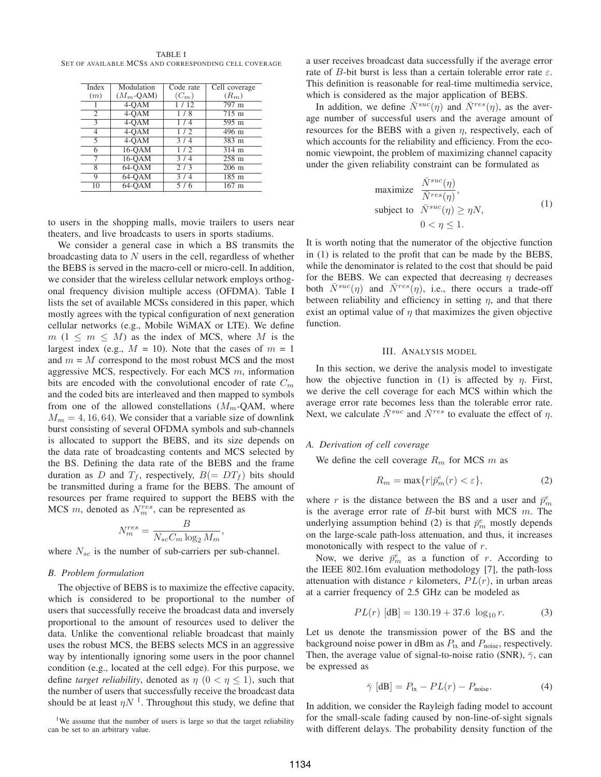| Index | Modulation   | Code rate         | Cell coverage       |  |
|-------|--------------|-------------------|---------------------|--|
| (m)   | $(M_m$ -QAM) | $(C_m)$           | $(R_m)$             |  |
|       | $4-OAM$      | 1/12              | 797 m               |  |
| 2     | $4-0AM$      | 1/8               | 715 m               |  |
| 3     | 4-OAM        | 1/4               | 595 m               |  |
| 4     | $4-0AM$      | $\overline{11}$ 2 | $\overline{496}$ m  |  |
| 5     | 4-OAM        | 3/4               | 383 m               |  |
| 6     | $16-OAM$     | 1/2               | 314 m               |  |
|       | $16-OAM$     | 3/4               | $258$ m             |  |
| 8     | $64-OAM$     | 2/3               | $206$ m             |  |
| 9     | 64-OAM       | 3/4               | $185 \text{ m}$     |  |
| 10    | $64-OAM$     | 5/6               | $167 \; \mathrm{m}$ |  |

TABLE I SET OF AVAILABLE MCSS AND CORRESPONDING CELL COVERAGE

to users in the shopping malls, movie trailers to users near theaters, and live broadcasts to users in sports stadiums.

We consider a general case in which a BS transmits the broadcasting data to  $N$  users in the cell, regardless of whether the BEBS is served in the macro-cell or micro-cell. In addition, we consider that the wireless cellular network employs orthogonal frequency division multiple access (OFDMA). Table I lists the set of available MCSs considered in this paper, which mostly agrees with the typical configuration of next generation cellular networks (e.g., Mobile WiMAX or LTE). We define  $m (1 \leq m \leq M)$  as the index of MCS, where M is the largest index (e.g.,  $M = 10$ ). Note that the cases of  $m = 1$ and  $m = M$  correspond to the most robust MCS and the most aggressive MCS, respectively. For each MCS  $m$ , information bits are encoded with the convolutional encoder of rate  $C_m$ and the coded bits are interleaved and then mapped to symbols from one of the allowed constellations  $(M_m-QAM,$  where  $M_m = 4, 16, 64$ . We consider that a variable size of downlink burst consisting of several OFDMA symbols and sub-channels is allocated to support the BEBS, and its size depends on the data rate of broadcasting contents and MCS selected by the BS. Defining the data rate of the BEBS and the frame duration as D and  $T_f$ , respectively,  $B(=DT_f)$  bits should be transmitted during a frame for the BEBS. The amount of resources per frame required to support the BEBS with the MCS m, denoted as  $N_m^{res}$ , can be represented as

$$
N_m^{res} = \frac{B}{N_{sc}C_m \log_2 M_m},
$$

where  $N_{sc}$  is the number of sub-carriers per sub-channel.

## *B. Problem formulation*

The objective of BEBS is to maximize the effective capacity, which is considered to be proportional to the number of users that successfully receive the broadcast data and inversely proportional to the amount of resources used to deliver the data. Unlike the conventional reliable broadcast that mainly uses the robust MCS, the BEBS selects MCS in an aggressive way by intentionally ignoring some users in the poor channel condition (e.g., located at the cell edge). For this purpose, we define *target reliability*, denoted as  $\eta$  ( $0 < \eta \le 1$ ), such that the number of users that successfully receive the broadcast data should be at least  $\eta N^{-1}$ . Throughout this study, we define that

a user receives broadcast data successfully if the average error rate of B-bit burst is less than a certain tolerable error rate  $\varepsilon$ . This definition is reasonable for real-time multimedia service, which is considered as the major application of BEBS.

In addition, we define  $\bar{N}^{suc}(\eta)$  and  $\bar{N}^{res}(\eta)$ , as the average number of successful users and the average amount of resources for the BEBS with a given  $\eta$ , respectively, each of which accounts for the reliability and efficiency. From the economic viewpoint, the problem of maximizing channel capacity under the given reliability constraint can be formulated as

maximize 
$$
\frac{\bar{N}^{suc}(\eta)}{\bar{N}^{res}(\eta)}
$$
,  
subject to  $\bar{N}^{suc}(\eta) \ge \eta N$ ,  
 $0 < \eta \le 1$ . (1)

It is worth noting that the numerator of the objective function in (1) is related to the profit that can be made by the BEBS, while the denominator is related to the cost that should be paid for the BEBS. We can expected that decreasing  $\eta$  decreases both  $\bar{N}^{suc}(\eta)$  and  $\bar{N}^{res}(\eta)$ , i.e., there occurs a trade-off between reliability and efficiency in setting  $\eta$ , and that there exist an optimal value of  $\eta$  that maximizes the given objective function.

## III. ANALYSIS MODEL

In this section, we derive the analysis model to investigate how the objective function in (1) is affected by  $\eta$ . First, we derive the cell coverage for each MCS within which the average error rate becomes less than the tolerable error rate. Next, we calculate  $\bar{N}^{suc}$  and  $\bar{N}^{res}$  to evaluate the effect of  $\eta$ .

#### *A. Derivation of cell coverage*

We define the cell coverage  $R_m$  for MCS m as

$$
R_m = \max\{r|\bar{p}_m^e(r) < \varepsilon\},\tag{2}
$$

where r is the distance between the BS and a user and  $\bar{p}_m^e$ is the average error rate of  $B$ -bit burst with MCS  $m$ . The underlying assumption behind (2) is that  $\bar{p}_m^e$  mostly depends on the large-scale path-loss attenuation, and thus, it increases monotonically with respect to the value of  $r$ .

Now, we derive  $\bar{p}_m^e$  as a function of r. According to the IEEE 802.16m evaluation methodology [7], the path-loss attenuation with distance r kilometers,  $PL(r)$ , in urban areas at a carrier frequency of 2.5 GHz can be modeled as

$$
PL(r)
$$
 [dB] = 130.19 + 37.6 log<sub>10</sub> r. (3)

Let us denote the transmission power of the BS and the background noise power in dBm as  $P_{tx}$  and  $P_{noise}$ , respectively. Then, the average value of signal-to-noise ratio (SNR),  $\bar{\gamma}$ , can be expressed as

$$
\bar{\gamma} \left[ \text{dB} \right] = P_{\text{tx}} - PL(r) - P_{\text{noise}}.
$$
 (4)

In addition, we consider the Rayleigh fading model to account for the small-scale fading caused by non-line-of-sight signals with different delays. The probability density function of the

<sup>&</sup>lt;sup>1</sup>We assume that the number of users is large so that the target reliability can be set to an arbitrary value.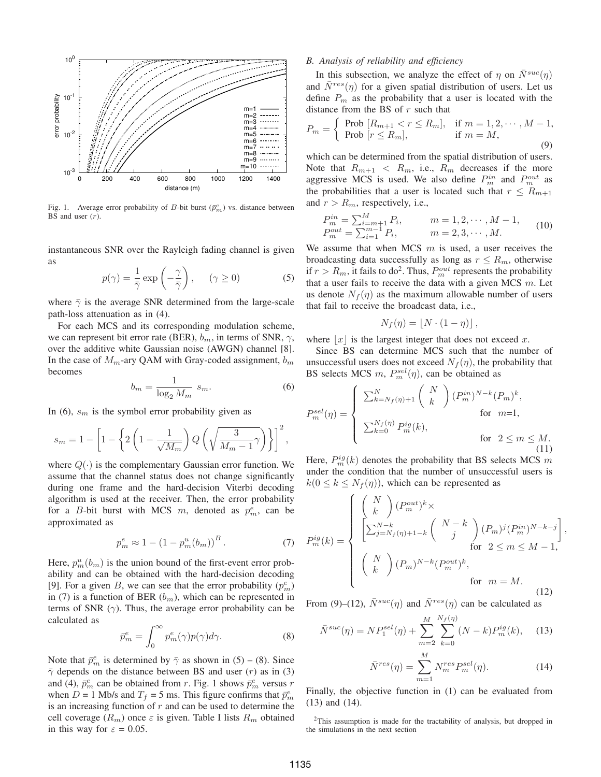

Fig. 1. Average error probability of B-bit burst  $(\bar{p}_m^e)$  vs. distance between BS and user  $(r)$ .

instantaneous SNR over the Rayleigh fading channel is given as

$$
p(\gamma) = \frac{1}{\bar{\gamma}} \exp\left(-\frac{\gamma}{\bar{\gamma}}\right), \quad (\gamma \ge 0)
$$
 (5)

where  $\bar{\gamma}$  is the average SNR determined from the large-scale path-loss attenuation as in (4).

For each MCS and its corresponding modulation scheme, we can represent bit error rate (BER),  $b_m$ , in terms of SNR,  $\gamma$ , over the additive white Gaussian noise (AWGN) channel [8]. In the case of  $M_m$ -ary QAM with Gray-coded assignment,  $b_m$ becomes

$$
b_m = \frac{1}{\log_2 M_m} s_m. \tag{6}
$$

In (6),  $s_m$  is the symbol error probability given as

$$
s_m = 1 - \left[1 - \left\{2\left(1 - \frac{1}{\sqrt{M_m}}\right)Q\left(\sqrt{\frac{3}{M_m - 1}}\gamma\right)\right\}\right]^2,
$$

where  $Q(\cdot)$  is the complementary Gaussian error function. We assume that the channel status does not change significantly during one frame and the hard-decision Viterbi decoding algorithm is used at the receiver. Then, the error probability for a B-bit burst with MCS m, denoted as  $p_m^e$ , can be approximated as

$$
p_m^e \approx 1 - (1 - p_m^u(b_m))^B.
$$
 (7)

Here,  $p_m^u(b_m)$  is the union bound of the first-event error probability and can be obtained with the hard-decision decoding [9]. For a given B, we can see that the error probability  $(p_m^e)$ in (7) is a function of BER  $(b_m)$ , which can be represented in terms of SNR  $(\gamma)$ . Thus, the average error probability can be calculated as

$$
\bar{p}_m^e = \int_0^\infty p_m^e(\gamma) p(\gamma) d\gamma.
$$
 (8)

Note that  $\bar{p}_m^e$  is determined by  $\bar{\gamma}$  as shown in (5) – (8). Since  $\bar{\gamma}$  depends on the distance between BS and user (r) as in (3) and (4),  $\bar{p}_m^e$  can be obtained from r. Fig. 1 shows  $\bar{p}_m^e$  versus r when  $D = 1$  Mb/s and  $T_f = 5$  ms. This figure confirms that  $\bar{p}_m^e$ is an increasing function of  $r$  and can be used to determine the cell coverage  $(R_m)$  once  $\varepsilon$  is given. Table I lists  $R_m$  obtained in this way for  $\varepsilon = 0.05$ .

## *B. Analysis of reliability and efficiency*

In this subsection, we analyze the effect of  $\eta$  on  $\bar{N}^{suc}(\eta)$ and  $\bar{N}^{res}(\eta)$  for a given spatial distribution of users. Let us define  $P_m$  as the probability that a user is located with the distance from the BS of  $r$  such that

$$
P_m = \begin{cases} \text{Prob } [R_{m+1} < r \le R_m], & \text{if } m = 1, 2, \cdots, M - 1, \\ \text{Prob } [r \le R_m], & \text{if } m = M, \end{cases} \tag{9}
$$

which can be determined from the spatial distribution of users. Note that  $R_{m+1} < R_m$ , i.e.,  $R_m$  decreases if the more aggressive MCS is used. We also define  $P_m^{in}$  and  $P_m^{out}$  as the probabilities that a user is located such that  $r \leq R_{m+1}$ and  $r > R_m$ , respectively, i.e.,

$$
P_m^{in} = \sum_{i=m+1}^{M} P_i, \qquad m = 1, 2, \cdots, M-1, P_m^{out} = \sum_{i=1}^{m-1} P_i, \qquad m = 2, 3, \cdots, M.
$$
 (10)

We assume that when MCS  $m$  is used, a user receives the broadcasting data successfully as long as  $r \le R_m$ , otherwise if  $r > R_m$ , it fails to do<sup>2</sup>. Thus,  $P_m^{out}$  represents the probability that a user fails to receive the data with a given MCS  $m$ . Let us denote  $N_f(\eta)$  as the maximum allowable number of users that fail to receive the broadcast data, i.e.,

$$
N_f(\eta) = \left\lfloor N \cdot (1 - \eta) \right\rfloor,
$$

where  $|x|$  is the largest integer that does not exceed x.

Since BS can determine MCS such that the number of unsuccessful users does not exceed  $N_f(\eta)$ , the probability that BS selects MCS  $m$ ,  $P_m^{sel}(\eta)$ , can be obtained as

$$
P_m^{sel}(\eta) = \begin{cases} \sum_{k=N_f(\eta)+1}^N {N \choose k} (P_m^{in})^{N-k} (P_m)^k, \\ \sum_{k=0}^{N_f(\eta)} P_m^{ig}(k), \\ \text{for } 2 \le m \le M. \end{cases}
$$

Here,  $P_m^{ig}(k)$  denotes the probability that BS selects MCS m under the condition that the number of unsuccessful users is  $k(0 \le k \le N_f(\eta))$ , which can be represented as

$$
P_m^{ig}(k) = \begin{cases} \begin{pmatrix} N \\ k \end{pmatrix} (P_m^{out})^k \times \\ \begin{bmatrix} \sum_{j=N_f(\eta)+1-k}^{N-k} \binom{N-k}{j} (P_m)^j (P_m^{in})^{N-k-j} \end{bmatrix}, \\ \begin{pmatrix} N \\ k \end{pmatrix} (P_m)^{N-k} (P_m^{out})^k, \\ \begin{pmatrix} N \\ k \end{pmatrix} (P_m)^{N-k} (P_m^{out})^k, \\ \text{for } m = M. \end{cases} \tag{12}
$$

From (9)–(12),  $\overline{N}^{suc}(\eta)$  and  $\overline{N}^{res}(\eta)$  can be calculated as

$$
\bar{N}^{suc}(\eta) = NP_1^{sel}(\eta) + \sum_{m=2}^{M} \sum_{k=0}^{N_f(\eta)} (N - k) P_m^{ig}(k), \quad (13)
$$

$$
\bar{N}^{res}(\eta) = \sum_{m=1}^{M} N_m^{res} P_m^{sel}(\eta). \tag{14}
$$

Finally, the objective function in (1) can be evaluated from (13) and (14).

<sup>2</sup>This assumption is made for the tractability of analysis, but dropped in the simulations in the next section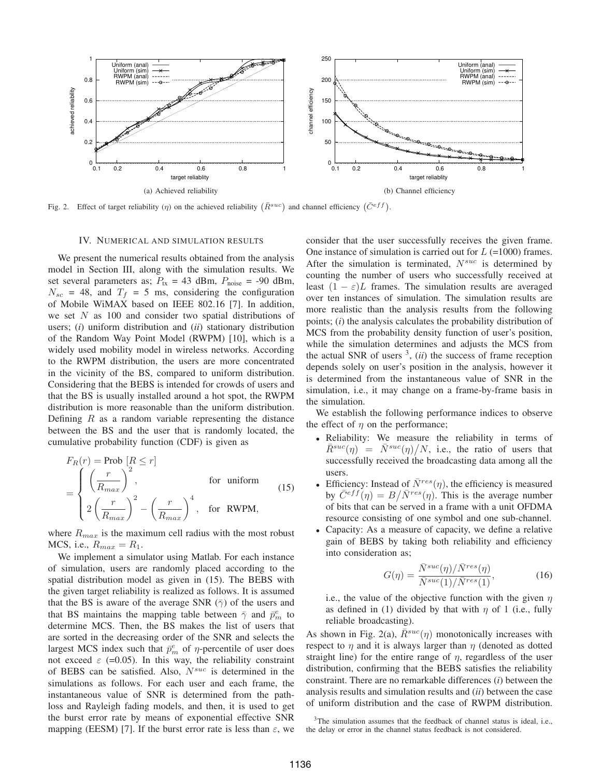

Fig. 2. Effect of target reliability ( $\eta$ ) on the achieved reliability  $(\bar{R}^{suc})$  and channel efficiency  $(\bar{C}^{eff})$ .

## IV. NUMERICAL AND SIMULATION RESULTS

We present the numerical results obtained from the analysis model in Section III, along with the simulation results. We set several parameters as;  $P_{tx} = 43$  dBm,  $P_{noise} = -90$  dBm,  $N_{sc}$  = 48, and  $T_f$  = 5 ms, considering the configuration of Mobile WiMAX based on IEEE 802.16 [7]. In addition, we set  $N$  as 100 and consider two spatial distributions of users; (*i*) uniform distribution and (*ii*) stationary distribution of the Random Way Point Model (RWPM) [10], which is a widely used mobility model in wireless networks. According to the RWPM distribution, the users are more concentrated in the vicinity of the BS, compared to uniform distribution. Considering that the BEBS is intended for crowds of users and that the BS is usually installed around a hot spot, the RWPM distribution is more reasonable than the uniform distribution. Defining  $R$  as a random variable representing the distance between the BS and the user that is randomly located, the cumulative probability function (CDF) is given as

$$
F_R(r) = \text{Prob}\left[R \le r\right]
$$
\n
$$
= \begin{cases}\n\left(\frac{r}{R_{max}}\right)^2, & \text{for uniform} \\
2\left(\frac{r}{R_{max}}\right)^2 - \left(\frac{r}{R_{max}}\right)^4, & \text{for RWPM,} \n\end{cases}
$$
\n(15)

where  $R_{max}$  is the maximum cell radius with the most robust MCS, i.e.,  $R_{max} = R_1$ .

We implement a simulator using Matlab. For each instance of simulation, users are randomly placed according to the spatial distribution model as given in (15). The BEBS with the given target reliability is realized as follows. It is assumed that the BS is aware of the average SNR  $(\bar{\gamma})$  of the users and that BS maintains the mapping table between  $\bar{\gamma}$  and  $\bar{p}_m^e$  to determine MCS. Then, the BS makes the list of users that are sorted in the decreasing order of the SNR and selects the largest MCS index such that  $\bar{p}_m^e$  of  $\eta$ -percentile of user does not exceed  $\varepsilon$  (=0.05). In this way, the reliability constraint of BEBS can be satisfied. Also,  $N^{suc}$  is determined in the simulations as follows. For each user and each frame, the instantaneous value of SNR is determined from the pathloss and Rayleigh fading models, and then, it is used to get the burst error rate by means of exponential effective SNR mapping (EESM) [7]. If the burst error rate is less than  $\varepsilon$ , we

consider that the user successfully receives the given frame. One instance of simulation is carried out for  $L$  (=1000) frames. After the simulation is terminated,  $N^{suc}$  is determined by counting the number of users who successfully received at least  $(1 - \varepsilon)L$  frames. The simulation results are averaged over ten instances of simulation. The simulation results are more realistic than the analysis results from the following points; (*i*) the analysis calculates the probability distribution of MCS from the probability density function of user's position, while the simulation determines and adjusts the MCS from the actual SNR of users  $3$ ,  $(ii)$  the success of frame reception depends solely on user's position in the analysis, however it is determined from the instantaneous value of SNR in the simulation, i.e., it may change on a frame-by-frame basis in the simulation.

We establish the following performance indices to observe the effect of  $\eta$  on the performance;

- Reliability: We measure the reliability in terms of  $\bar{R}^{suc}(\eta) = \bar{N}^{suc}(\eta)/N$ , i.e., the ratio of users that successfully received the broadcasting data among all the users.
- Efficiency: Instead of  $\bar{N}^{res}(\eta)$ , the efficiency is measured by  $\overline{C}^{eff}(\eta) = B/\overline{N}^{res}(\eta)$ . This is the average number of bits that can be served in a frame with a unit OFDMA resource consisting of one symbol and one sub-channel.
- Capacity: As a measure of capacity, we define a relative gain of BEBS by taking both reliability and efficiency into consideration as;

$$
G(\eta) = \frac{\bar{N}^{suc}(\eta)/\bar{N}^{res}(\eta)}{\bar{N}^{suc}(1)/\bar{N}^{res}(1)},
$$
\n(16)

i.e., the value of the objective function with the given  $\eta$ as defined in (1) divided by that with  $\eta$  of 1 (i.e., fully reliable broadcasting).

As shown in Fig. 2(a),  $\bar{R}^{suc}(\eta)$  monotonically increases with respect to  $\eta$  and it is always larger than  $\eta$  (denoted as dotted straight line) for the entire range of  $\eta$ , regardless of the user distribution, confirming that the BEBS satisfies the reliability constraint. There are no remarkable differences (*i*) between the analysis results and simulation results and (*ii*) between the case of uniform distribution and the case of RWPM distribution.

<sup>&</sup>lt;sup>3</sup>The simulation assumes that the feedback of channel status is ideal, i.e., the delay or error in the channel status feedback is not considered.